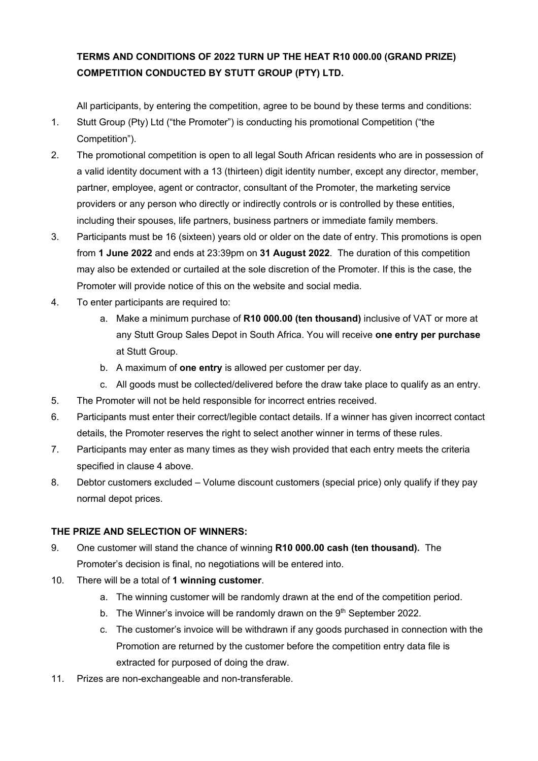## **TERMS AND CONDITIONS OF 2022 TURN UP THE HEAT R10 000.00 (GRAND PRIZE) COMPETITION CONDUCTED BY STUTT GROUP (PTY) LTD.**

All participants, by entering the competition, agree to be bound by these terms and conditions:

- 1. Stutt Group (Pty) Ltd ("the Promoter") is conducting his promotional Competition ("the Competition").
- 2. The promotional competition is open to all legal South African residents who are in possession of a valid identity document with a 13 (thirteen) digit identity number, except any director, member, partner, employee, agent or contractor, consultant of the Promoter, the marketing service providers or any person who directly or indirectly controls or is controlled by these entities, including their spouses, life partners, business partners or immediate family members.
- 3. Participants must be 16 (sixteen) years old or older on the date of entry. This promotions is open from **1 June 2022** and ends at 23:39pm on **31 August 2022**. The duration of this competition may also be extended or curtailed at the sole discretion of the Promoter. If this is the case, the Promoter will provide notice of this on the website and social media.
- 4. To enter participants are required to:
	- a. Make a minimum purchase of **R10 000.00 (ten thousand)** inclusive of VAT or more at any Stutt Group Sales Depot in South Africa. You will receive **one entry per purchase** at Stutt Group.
	- b. A maximum of **one entry** is allowed per customer per day.
	- c. All goods must be collected/delivered before the draw take place to qualify as an entry.
- 5. The Promoter will not be held responsible for incorrect entries received.
- 6. Participants must enter their correct/legible contact details. If a winner has given incorrect contact details, the Promoter reserves the right to select another winner in terms of these rules.
- 7. Participants may enter as many times as they wish provided that each entry meets the criteria specified in clause 4 above.
- 8. Debtor customers excluded Volume discount customers (special price) only qualify if they pay normal depot prices.

## **THE PRIZE AND SELECTION OF WINNERS:**

- 9. One customer will stand the chance of winning **R10 000.00 cash (ten thousand).** The Promoter's decision is final, no negotiations will be entered into.
- 10. There will be a total of **1 winning customer**.
	- a. The winning customer will be randomly drawn at the end of the competition period.
	- b. The Winner's invoice will be randomly drawn on the  $9<sup>th</sup>$  September 2022.
	- c. The customer's invoice will be withdrawn if any goods purchased in connection with the Promotion are returned by the customer before the competition entry data file is extracted for purposed of doing the draw.
- 11. Prizes are non-exchangeable and non-transferable.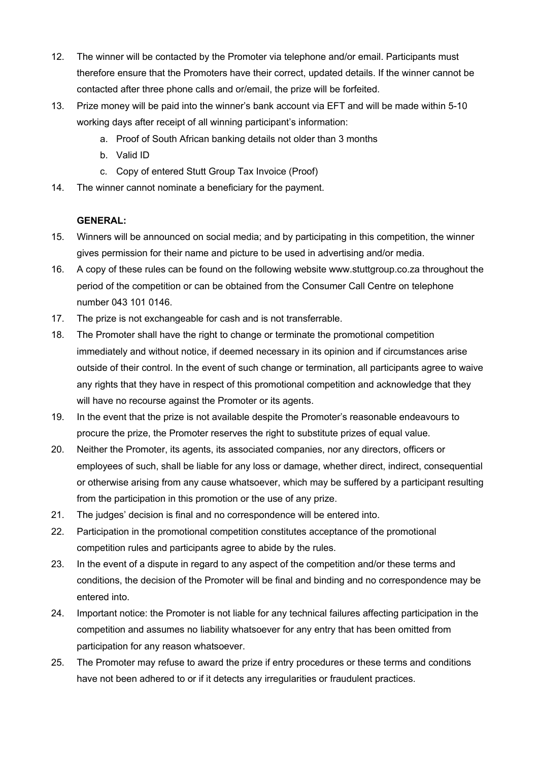- 12. The winner will be contacted by the Promoter via telephone and/or email. Participants must therefore ensure that the Promoters have their correct, updated details. If the winner cannot be contacted after three phone calls and or/email, the prize will be forfeited.
- 13. Prize money will be paid into the winner's bank account via EFT and will be made within 5-10 working days after receipt of all winning participant's information:
	- a. Proof of South African banking details not older than 3 months
	- b. Valid ID
	- c. Copy of entered Stutt Group Tax Invoice (Proof)
- 14. The winner cannot nominate a beneficiary for the payment.

## **GENERAL:**

- 15. Winners will be announced on social media; and by participating in this competition, the winner gives permission for their name and picture to be used in advertising and/or media.
- 16. A copy of these rules can be found on the following website www.stuttgroup.co.za throughout the period of the competition or can be obtained from the Consumer Call Centre on telephone number 043 101 0146.
- 17. The prize is not exchangeable for cash and is not transferrable.
- 18. The Promoter shall have the right to change or terminate the promotional competition immediately and without notice, if deemed necessary in its opinion and if circumstances arise outside of their control. In the event of such change or termination, all participants agree to waive any rights that they have in respect of this promotional competition and acknowledge that they will have no recourse against the Promoter or its agents.
- 19. In the event that the prize is not available despite the Promoter's reasonable endeavours to procure the prize, the Promoter reserves the right to substitute prizes of equal value.
- 20. Neither the Promoter, its agents, its associated companies, nor any directors, officers or employees of such, shall be liable for any loss or damage, whether direct, indirect, consequential or otherwise arising from any cause whatsoever, which may be suffered by a participant resulting from the participation in this promotion or the use of any prize.
- 21. The judges' decision is final and no correspondence will be entered into.
- 22. Participation in the promotional competition constitutes acceptance of the promotional competition rules and participants agree to abide by the rules.
- 23. In the event of a dispute in regard to any aspect of the competition and/or these terms and conditions, the decision of the Promoter will be final and binding and no correspondence may be entered into.
- 24. Important notice: the Promoter is not liable for any technical failures affecting participation in the competition and assumes no liability whatsoever for any entry that has been omitted from participation for any reason whatsoever.
- 25. The Promoter may refuse to award the prize if entry procedures or these terms and conditions have not been adhered to or if it detects any irregularities or fraudulent practices.